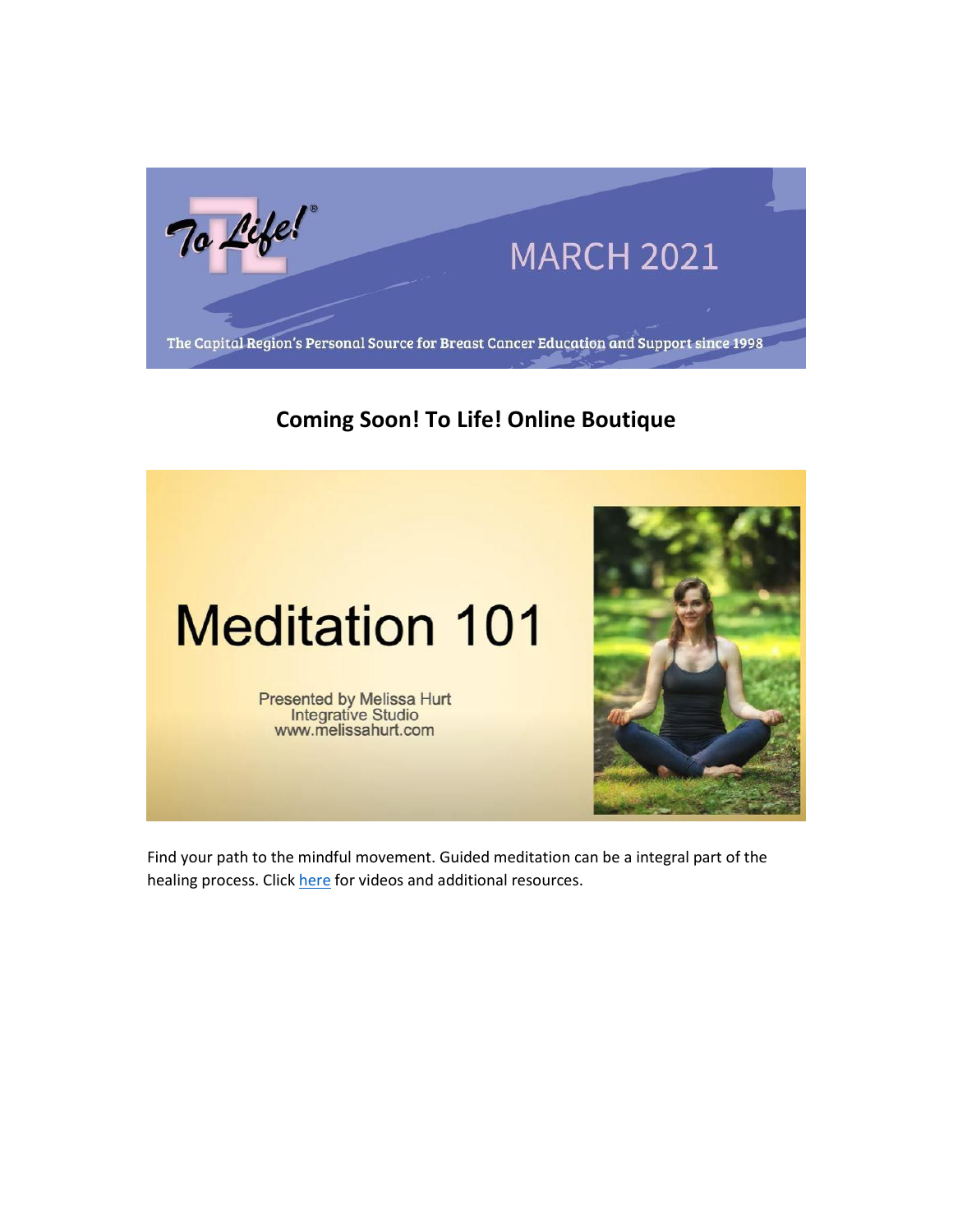

# **Coming Soon! To Life! Online Boutique**



Find your path to the mindful movement. Guided meditation can be a integral part of the healing process. Click [here](https://tolife.us5.list-manage.com/track/click?u=241d59b897b4121e9d2e15914&id=eaa63c9b4a&e=14acf428be) for videos and additional resources.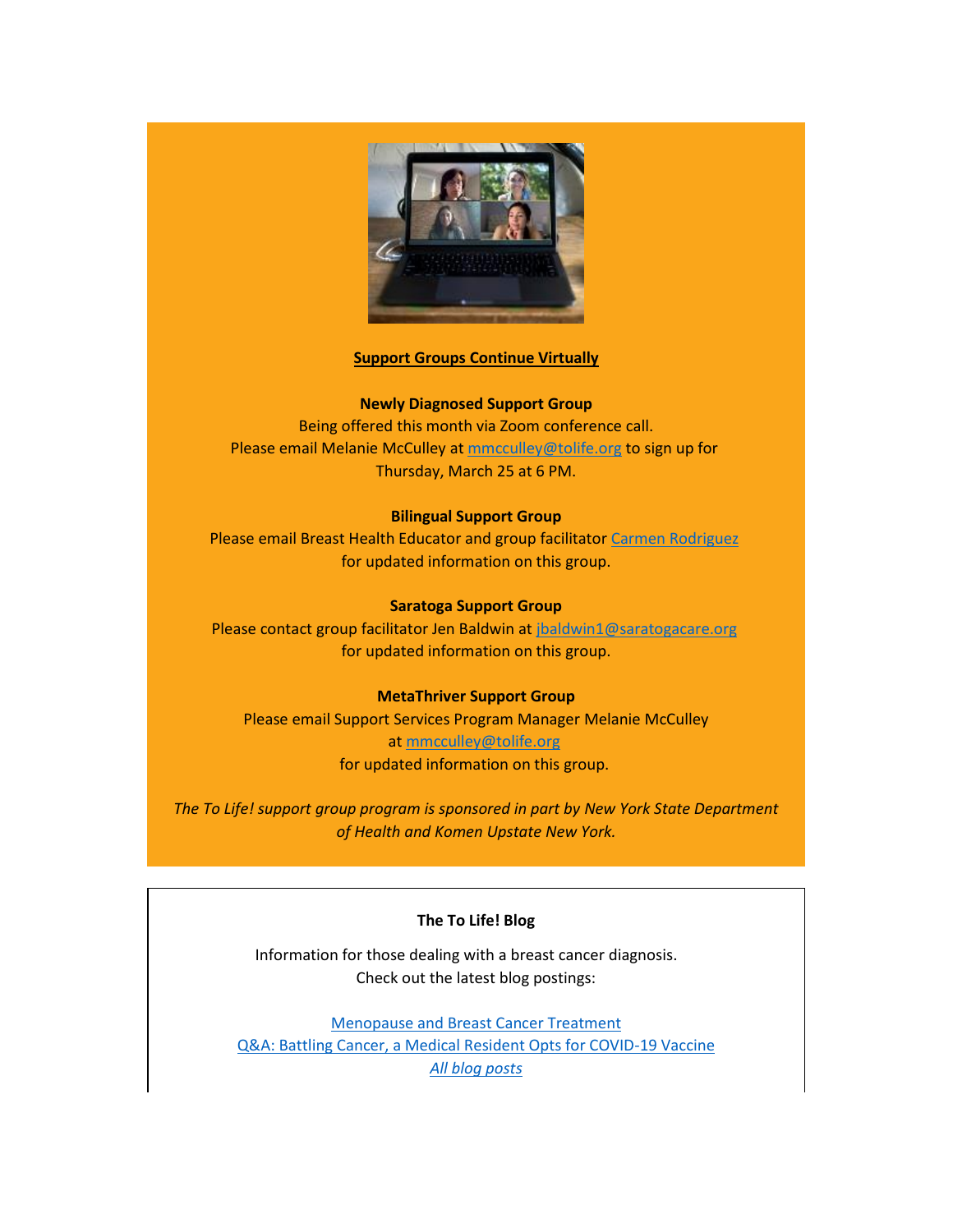

## **Support Groups Continue Virtually**

## **Newly Diagnosed Support Group**

Being offered this month via Zoom conference call. Please email Melanie McCulley at [mmcculley@tolife.org](mailto:mmcculley@tolife.org) to sign up for Thursday, March 25 at 6 PM.

## **Bilingual Support Group**

Please email Breast Health Educator and group facilitator [Carmen Rodriguez](mailto:ccarmenrod@hotmail.com) for updated information on this group.

#### **Saratoga Support Group**

Please contact group facilitator Jen Baldwin at [jbaldwin1@saratogacare.org](mailto:jbaldwin1@saratogacare.org) for updated information on this group.

#### **MetaThriver Support Group**

Please email Support Services Program Manager Melanie McCulley at [mmcculley@tolife.org](mailto:mmcculley@tolife.org) for updated information on this group.

*The To Life! support group program is sponsored in part by New York State Department of Health and Komen Upstate New York.*

## **The To Life! Blog**

Information for those dealing with a breast cancer diagnosis. Check out the latest blog postings:

[Menopause and Breast Cancer Treatment](https://tolife.us5.list-manage.com/track/click?u=241d59b897b4121e9d2e15914&id=bbe9b4faf5&e=14acf428be) [Q&A: Battling Cancer, a Medical Resident Opts for COVID-19 Vaccine](https://tolife.us5.list-manage.com/track/click?u=241d59b897b4121e9d2e15914&id=260c7ec021&e=14acf428be) *[All blog posts](https://tolife.us5.list-manage.com/track/click?u=241d59b897b4121e9d2e15914&id=ec2d709aa9&e=14acf428be)*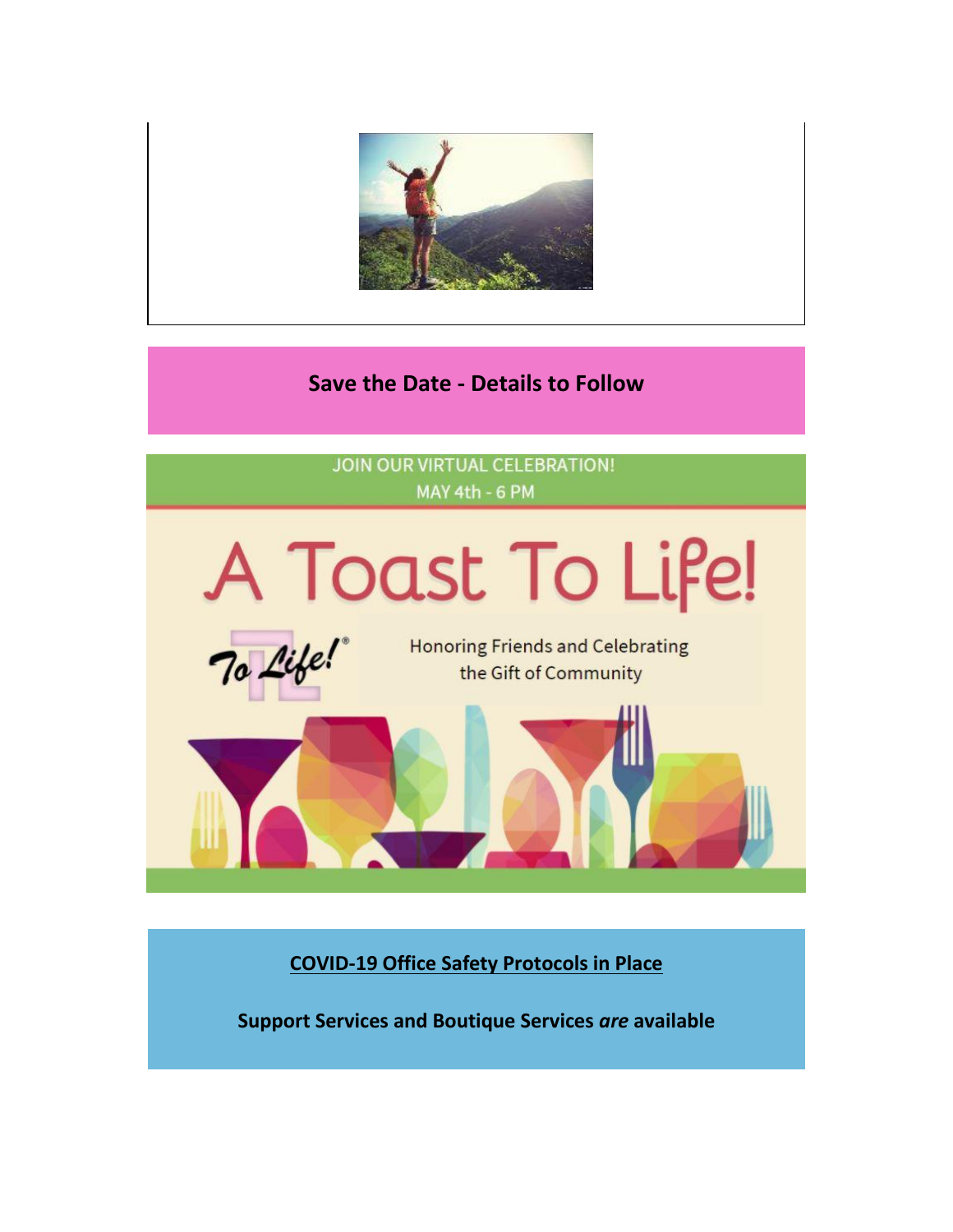

## **Save the Date - Details to Follow**

**JOIN OUR VIRTUAL CELEBRATION!** MAY 4th - 6 PM



**COVID-19 Office Safety Protocols in Place**

**Support Services and Boutique Services** *are* **available**